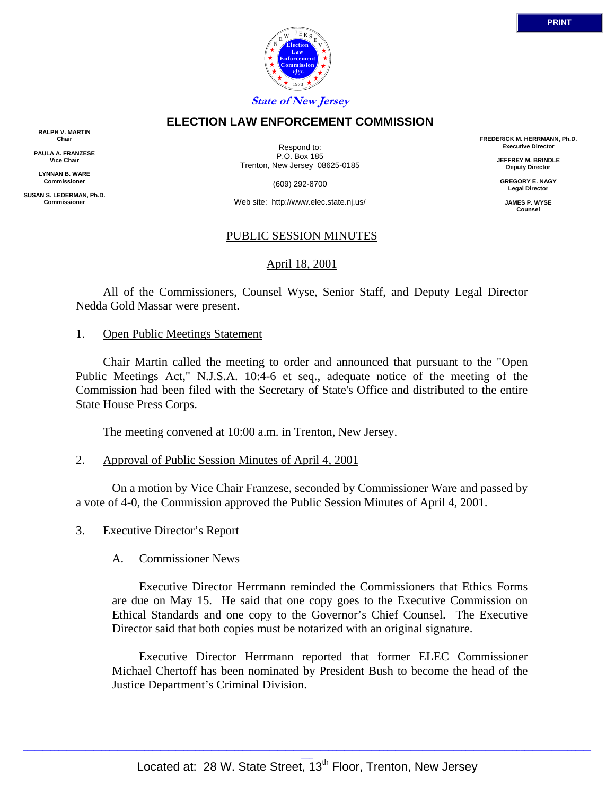

### **ELECTION LAW ENFORCEMENT COMMISSION**

**RALPH V. MARTIN Chair**

**PAULA A. FRANZESE Vice Chair**

**LYNNAN B. WARE Commissioner**

**SUSAN S. LEDERMAN, Ph.D. Commissioner**

Respond to: P.O. Box 185 Trenton, New Jersey 08625-0185

(609) 292-8700

Web site: http://www.elec.state.nj.us/

## PUBLIC SESSION MINUTES

## April 18, 2001

 All of the Commissioners, Counsel Wyse, Senior Staff, and Deputy Legal Director Nedda Gold Massar were present.

#### 1. Open Public Meetings Statement

 Chair Martin called the meeting to order and announced that pursuant to the "Open Public Meetings Act," N.J.S.A. 10:4-6 et seq., adequate notice of the meeting of the Commission had been filed with the Secretary of State's Office and distributed to the entire State House Press Corps.

The meeting convened at 10:00 a.m. in Trenton, New Jersey.

2. Approval of Public Session Minutes of April 4, 2001

 On a motion by Vice Chair Franzese, seconded by Commissioner Ware and passed by a vote of 4-0, the Commission approved the Public Session Minutes of April 4, 2001.

3. Executive Director's Report

#### A. Commissioner News

 Executive Director Herrmann reminded the Commissioners that Ethics Forms are due on May 15. He said that one copy goes to the Executive Commission on Ethical Standards and one copy to the Governor's Chief Counsel. The Executive Director said that both copies must be notarized with an original signature.

 Executive Director Herrmann reported that former ELEC Commissioner Michael Chertoff has been nominated by President Bush to become the head of the Justice Department's Criminal Division.

**FREDERICK M. HERRMANN, Ph.D. Executive Director JEFFREY M. BRINDLE Deputy Director GREGORY E. NAGY Legal Director JAMES P. WYSE Counsel**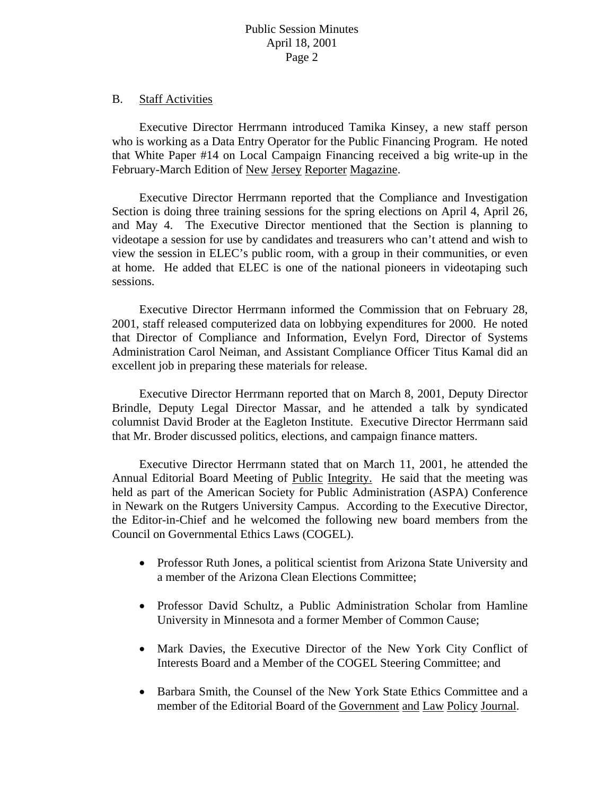### B. Staff Activities

Executive Director Herrmann introduced Tamika Kinsey, a new staff person who is working as a Data Entry Operator for the Public Financing Program. He noted that White Paper #14 on Local Campaign Financing received a big write-up in the February-March Edition of New Jersey Reporter Magazine.

Executive Director Herrmann reported that the Compliance and Investigation Section is doing three training sessions for the spring elections on April 4, April 26, and May 4. The Executive Director mentioned that the Section is planning to videotape a session for use by candidates and treasurers who can't attend and wish to view the session in ELEC's public room, with a group in their communities, or even at home. He added that ELEC is one of the national pioneers in videotaping such sessions.

Executive Director Herrmann informed the Commission that on February 28, 2001, staff released computerized data on lobbying expenditures for 2000. He noted that Director of Compliance and Information, Evelyn Ford, Director of Systems Administration Carol Neiman, and Assistant Compliance Officer Titus Kamal did an excellent job in preparing these materials for release.

Executive Director Herrmann reported that on March 8, 2001, Deputy Director Brindle, Deputy Legal Director Massar, and he attended a talk by syndicated columnist David Broder at the Eagleton Institute. Executive Director Herrmann said that Mr. Broder discussed politics, elections, and campaign finance matters.

Executive Director Herrmann stated that on March 11, 2001, he attended the Annual Editorial Board Meeting of Public Integrity. He said that the meeting was held as part of the American Society for Public Administration (ASPA) Conference in Newark on the Rutgers University Campus. According to the Executive Director, the Editor-in-Chief and he welcomed the following new board members from the Council on Governmental Ethics Laws (COGEL).

- Professor Ruth Jones, a political scientist from Arizona State University and a member of the Arizona Clean Elections Committee;
- Professor David Schultz, a Public Administration Scholar from Hamline University in Minnesota and a former Member of Common Cause;
- Mark Davies, the Executive Director of the New York City Conflict of Interests Board and a Member of the COGEL Steering Committee; and
- Barbara Smith, the Counsel of the New York State Ethics Committee and a member of the Editorial Board of the Government and Law Policy Journal.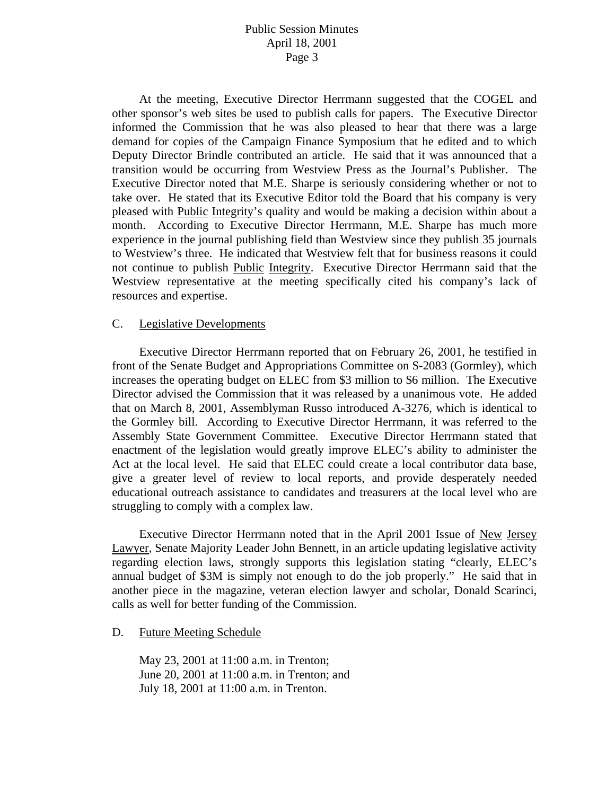At the meeting, Executive Director Herrmann suggested that the COGEL and other sponsor's web sites be used to publish calls for papers. The Executive Director informed the Commission that he was also pleased to hear that there was a large demand for copies of the Campaign Finance Symposium that he edited and to which Deputy Director Brindle contributed an article. He said that it was announced that a transition would be occurring from Westview Press as the Journal's Publisher. The Executive Director noted that M.E. Sharpe is seriously considering whether or not to take over. He stated that its Executive Editor told the Board that his company is very pleased with Public Integrity's quality and would be making a decision within about a month. According to Executive Director Herrmann, M.E. Sharpe has much more experience in the journal publishing field than Westview since they publish 35 journals to Westview's three. He indicated that Westview felt that for business reasons it could not continue to publish Public Integrity. Executive Director Herrmann said that the Westview representative at the meeting specifically cited his company's lack of resources and expertise.

#### C. Legislative Developments

 Executive Director Herrmann reported that on February 26, 2001, he testified in front of the Senate Budget and Appropriations Committee on S-2083 (Gormley), which increases the operating budget on ELEC from \$3 million to \$6 million. The Executive Director advised the Commission that it was released by a unanimous vote. He added that on March 8, 2001, Assemblyman Russo introduced A-3276, which is identical to the Gormley bill. According to Executive Director Herrmann, it was referred to the Assembly State Government Committee. Executive Director Herrmann stated that enactment of the legislation would greatly improve ELEC's ability to administer the Act at the local level. He said that ELEC could create a local contributor data base, give a greater level of review to local reports, and provide desperately needed educational outreach assistance to candidates and treasurers at the local level who are struggling to comply with a complex law.

Executive Director Herrmann noted that in the April 2001 Issue of <u>New Jersey</u> Lawyer, Senate Majority Leader John Bennett, in an article updating legislative activity regarding election laws, strongly supports this legislation stating "clearly, ELEC's annual budget of \$3M is simply not enough to do the job properly." He said that in another piece in the magazine, veteran election lawyer and scholar, Donald Scarinci, calls as well for better funding of the Commission.

#### D. Future Meeting Schedule

May 23, 2001 at 11:00 a.m. in Trenton; June 20, 2001 at 11:00 a.m. in Trenton; and July 18, 2001 at 11:00 a.m. in Trenton.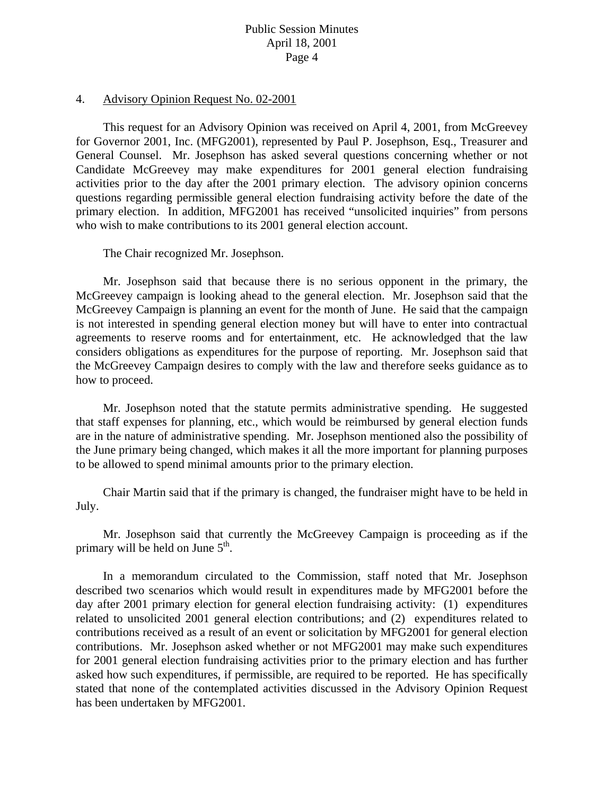#### 4. Advisory Opinion Request No. 02-2001

 This request for an Advisory Opinion was received on April 4, 2001, from McGreevey for Governor 2001, Inc. (MFG2001), represented by Paul P. Josephson, Esq., Treasurer and General Counsel. Mr. Josephson has asked several questions concerning whether or not Candidate McGreevey may make expenditures for 2001 general election fundraising activities prior to the day after the 2001 primary election. The advisory opinion concerns questions regarding permissible general election fundraising activity before the date of the primary election. In addition, MFG2001 has received "unsolicited inquiries" from persons who wish to make contributions to its 2001 general election account.

The Chair recognized Mr. Josephson.

 Mr. Josephson said that because there is no serious opponent in the primary, the McGreevey campaign is looking ahead to the general election. Mr. Josephson said that the McGreevey Campaign is planning an event for the month of June. He said that the campaign is not interested in spending general election money but will have to enter into contractual agreements to reserve rooms and for entertainment, etc. He acknowledged that the law considers obligations as expenditures for the purpose of reporting. Mr. Josephson said that the McGreevey Campaign desires to comply with the law and therefore seeks guidance as to how to proceed.

 Mr. Josephson noted that the statute permits administrative spending. He suggested that staff expenses for planning, etc., which would be reimbursed by general election funds are in the nature of administrative spending. Mr. Josephson mentioned also the possibility of the June primary being changed, which makes it all the more important for planning purposes to be allowed to spend minimal amounts prior to the primary election.

 Chair Martin said that if the primary is changed, the fundraiser might have to be held in July.

 Mr. Josephson said that currently the McGreevey Campaign is proceeding as if the primary will be held on June  $5<sup>th</sup>$ .

 In a memorandum circulated to the Commission, staff noted that Mr. Josephson described two scenarios which would result in expenditures made by MFG2001 before the day after 2001 primary election for general election fundraising activity: (1) expenditures related to unsolicited 2001 general election contributions; and (2) expenditures related to contributions received as a result of an event or solicitation by MFG2001 for general election contributions. Mr. Josephson asked whether or not MFG2001 may make such expenditures for 2001 general election fundraising activities prior to the primary election and has further asked how such expenditures, if permissible, are required to be reported. He has specifically stated that none of the contemplated activities discussed in the Advisory Opinion Request has been undertaken by MFG2001.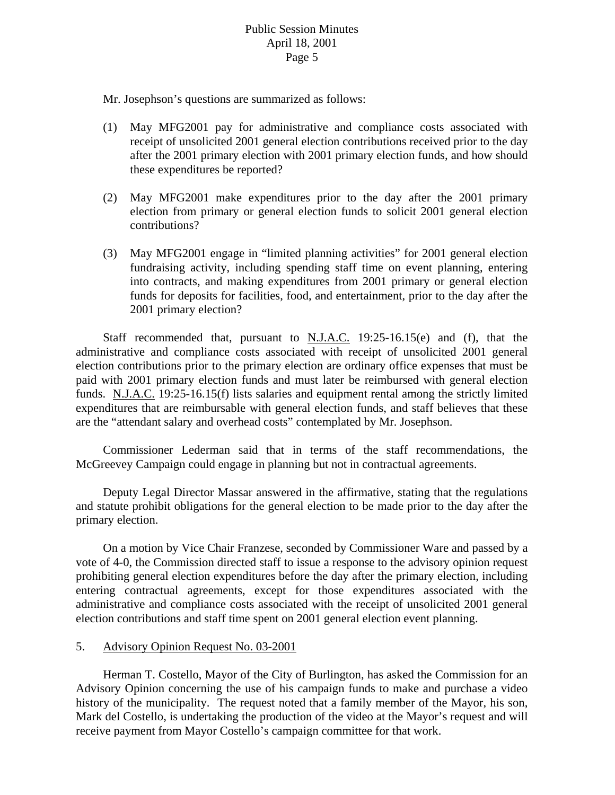Mr. Josephson's questions are summarized as follows:

- (1) May MFG2001 pay for administrative and compliance costs associated with receipt of unsolicited 2001 general election contributions received prior to the day after the 2001 primary election with 2001 primary election funds, and how should these expenditures be reported?
- (2) May MFG2001 make expenditures prior to the day after the 2001 primary election from primary or general election funds to solicit 2001 general election contributions?
- (3) May MFG2001 engage in "limited planning activities" for 2001 general election fundraising activity, including spending staff time on event planning, entering into contracts, and making expenditures from 2001 primary or general election funds for deposits for facilities, food, and entertainment, prior to the day after the 2001 primary election?

Staff recommended that, pursuant to  $N.J.A.C.$  19:25-16.15(e) and (f), that the administrative and compliance costs associated with receipt of unsolicited 2001 general election contributions prior to the primary election are ordinary office expenses that must be paid with 2001 primary election funds and must later be reimbursed with general election funds. N.J.A.C. 19:25-16.15(f) lists salaries and equipment rental among the strictly limited expenditures that are reimbursable with general election funds, and staff believes that these are the "attendant salary and overhead costs" contemplated by Mr. Josephson.

 Commissioner Lederman said that in terms of the staff recommendations, the McGreevey Campaign could engage in planning but not in contractual agreements.

 Deputy Legal Director Massar answered in the affirmative, stating that the regulations and statute prohibit obligations for the general election to be made prior to the day after the primary election.

 On a motion by Vice Chair Franzese, seconded by Commissioner Ware and passed by a vote of 4-0, the Commission directed staff to issue a response to the advisory opinion request prohibiting general election expenditures before the day after the primary election, including entering contractual agreements, except for those expenditures associated with the administrative and compliance costs associated with the receipt of unsolicited 2001 general election contributions and staff time spent on 2001 general election event planning.

## 5. Advisory Opinion Request No. 03-2001

 Herman T. Costello, Mayor of the City of Burlington, has asked the Commission for an Advisory Opinion concerning the use of his campaign funds to make and purchase a video history of the municipality. The request noted that a family member of the Mayor, his son, Mark del Costello, is undertaking the production of the video at the Mayor's request and will receive payment from Mayor Costello's campaign committee for that work.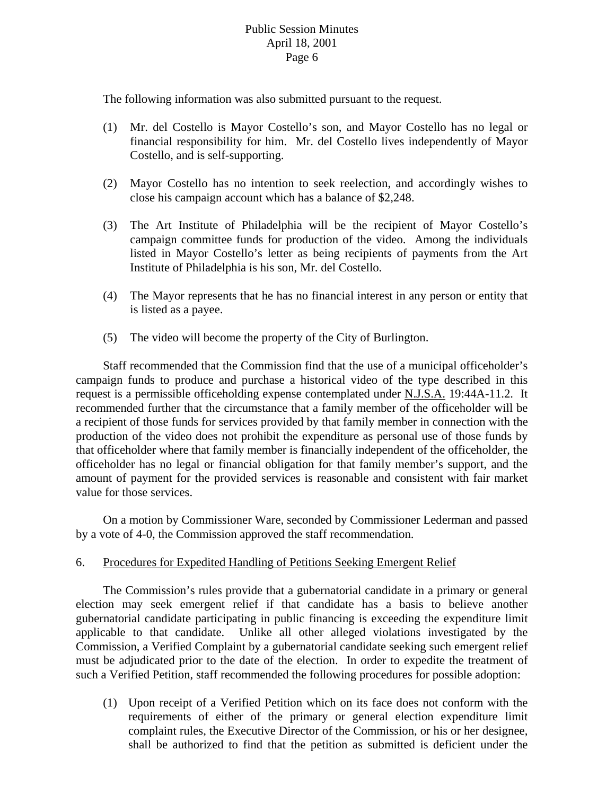The following information was also submitted pursuant to the request.

- (1) Mr. del Costello is Mayor Costello's son, and Mayor Costello has no legal or financial responsibility for him. Mr. del Costello lives independently of Mayor Costello, and is self-supporting.
- (2) Mayor Costello has no intention to seek reelection, and accordingly wishes to close his campaign account which has a balance of \$2,248.
- (3) The Art Institute of Philadelphia will be the recipient of Mayor Costello's campaign committee funds for production of the video. Among the individuals listed in Mayor Costello's letter as being recipients of payments from the Art Institute of Philadelphia is his son, Mr. del Costello.
- (4) The Mayor represents that he has no financial interest in any person or entity that is listed as a payee.
- (5) The video will become the property of the City of Burlington.

 Staff recommended that the Commission find that the use of a municipal officeholder's campaign funds to produce and purchase a historical video of the type described in this request is a permissible officeholding expense contemplated under N.J.S.A. 19:44A-11.2. It recommended further that the circumstance that a family member of the officeholder will be a recipient of those funds for services provided by that family member in connection with the production of the video does not prohibit the expenditure as personal use of those funds by that officeholder where that family member is financially independent of the officeholder, the officeholder has no legal or financial obligation for that family member's support, and the amount of payment for the provided services is reasonable and consistent with fair market value for those services.

 On a motion by Commissioner Ware, seconded by Commissioner Lederman and passed by a vote of 4-0, the Commission approved the staff recommendation.

## 6. Procedures for Expedited Handling of Petitions Seeking Emergent Relief

 The Commission's rules provide that a gubernatorial candidate in a primary or general election may seek emergent relief if that candidate has a basis to believe another gubernatorial candidate participating in public financing is exceeding the expenditure limit applicable to that candidate. Unlike all other alleged violations investigated by the Commission, a Verified Complaint by a gubernatorial candidate seeking such emergent relief must be adjudicated prior to the date of the election. In order to expedite the treatment of such a Verified Petition, staff recommended the following procedures for possible adoption:

(1) Upon receipt of a Verified Petition which on its face does not conform with the requirements of either of the primary or general election expenditure limit complaint rules, the Executive Director of the Commission, or his or her designee, shall be authorized to find that the petition as submitted is deficient under the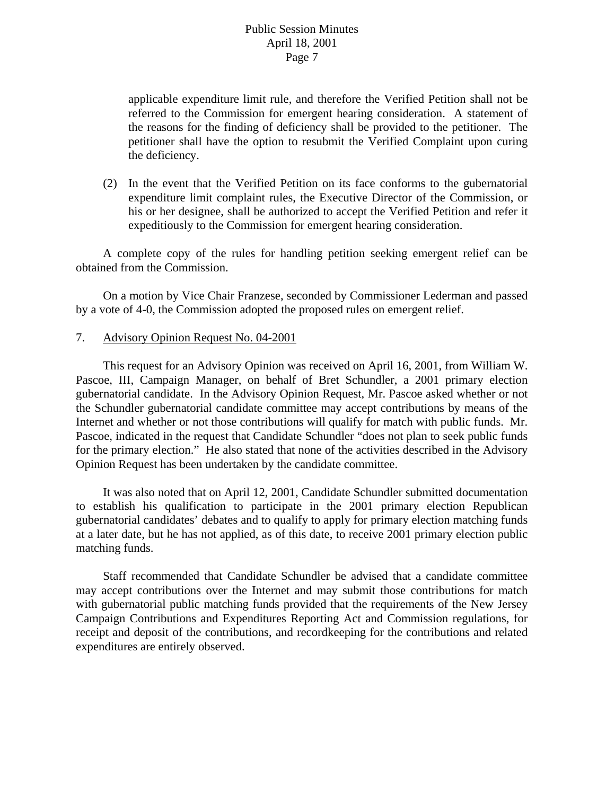applicable expenditure limit rule, and therefore the Verified Petition shall not be referred to the Commission for emergent hearing consideration. A statement of the reasons for the finding of deficiency shall be provided to the petitioner. The petitioner shall have the option to resubmit the Verified Complaint upon curing the deficiency.

(2) In the event that the Verified Petition on its face conforms to the gubernatorial expenditure limit complaint rules, the Executive Director of the Commission, or his or her designee, shall be authorized to accept the Verified Petition and refer it expeditiously to the Commission for emergent hearing consideration.

 A complete copy of the rules for handling petition seeking emergent relief can be obtained from the Commission.

 On a motion by Vice Chair Franzese, seconded by Commissioner Lederman and passed by a vote of 4-0, the Commission adopted the proposed rules on emergent relief.

# 7. Advisory Opinion Request No. 04-2001

 This request for an Advisory Opinion was received on April 16, 2001, from William W. Pascoe, III, Campaign Manager, on behalf of Bret Schundler, a 2001 primary election gubernatorial candidate. In the Advisory Opinion Request, Mr. Pascoe asked whether or not the Schundler gubernatorial candidate committee may accept contributions by means of the Internet and whether or not those contributions will qualify for match with public funds. Mr. Pascoe, indicated in the request that Candidate Schundler "does not plan to seek public funds for the primary election." He also stated that none of the activities described in the Advisory Opinion Request has been undertaken by the candidate committee.

 It was also noted that on April 12, 2001, Candidate Schundler submitted documentation to establish his qualification to participate in the 2001 primary election Republican gubernatorial candidates' debates and to qualify to apply for primary election matching funds at a later date, but he has not applied, as of this date, to receive 2001 primary election public matching funds.

 Staff recommended that Candidate Schundler be advised that a candidate committee may accept contributions over the Internet and may submit those contributions for match with gubernatorial public matching funds provided that the requirements of the New Jersey Campaign Contributions and Expenditures Reporting Act and Commission regulations, for receipt and deposit of the contributions, and recordkeeping for the contributions and related expenditures are entirely observed.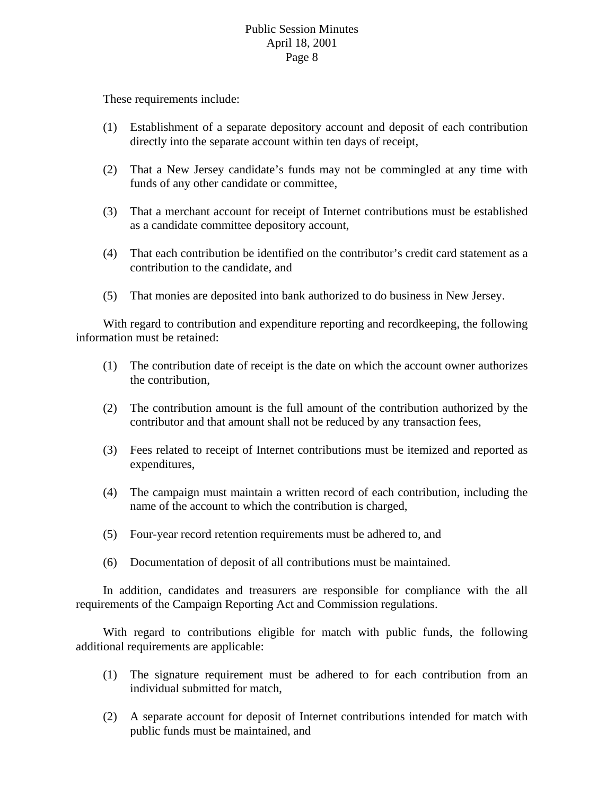These requirements include:

- (1) Establishment of a separate depository account and deposit of each contribution directly into the separate account within ten days of receipt,
- (2) That a New Jersey candidate's funds may not be commingled at any time with funds of any other candidate or committee,
- (3) That a merchant account for receipt of Internet contributions must be established as a candidate committee depository account,
- (4) That each contribution be identified on the contributor's credit card statement as a contribution to the candidate, and
- (5) That monies are deposited into bank authorized to do business in New Jersey.

 With regard to contribution and expenditure reporting and recordkeeping, the following information must be retained:

- (1) The contribution date of receipt is the date on which the account owner authorizes the contribution,
- (2) The contribution amount is the full amount of the contribution authorized by the contributor and that amount shall not be reduced by any transaction fees,
- (3) Fees related to receipt of Internet contributions must be itemized and reported as expenditures,
- (4) The campaign must maintain a written record of each contribution, including the name of the account to which the contribution is charged,
- (5) Four-year record retention requirements must be adhered to, and
- (6) Documentation of deposit of all contributions must be maintained.

 In addition, candidates and treasurers are responsible for compliance with the all requirements of the Campaign Reporting Act and Commission regulations.

 With regard to contributions eligible for match with public funds, the following additional requirements are applicable:

- (1) The signature requirement must be adhered to for each contribution from an individual submitted for match,
- (2) A separate account for deposit of Internet contributions intended for match with public funds must be maintained, and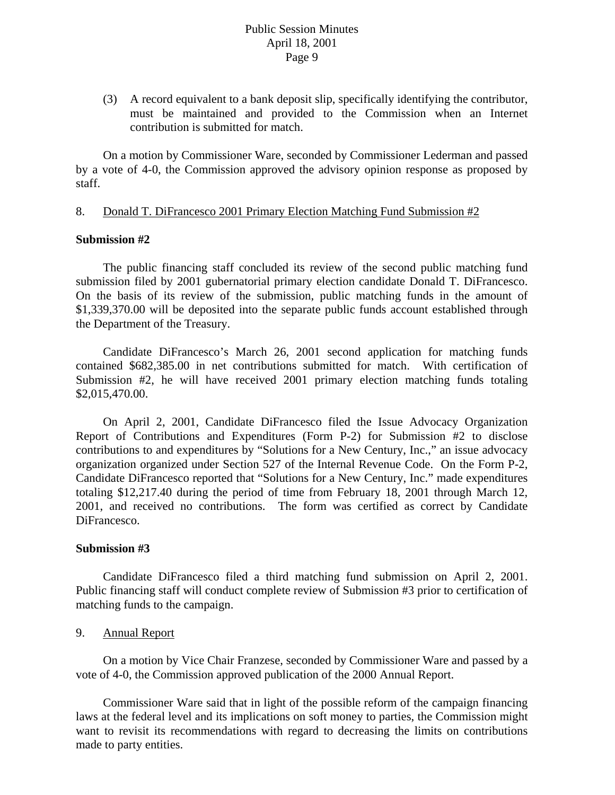(3) A record equivalent to a bank deposit slip, specifically identifying the contributor, must be maintained and provided to the Commission when an Internet contribution is submitted for match.

 On a motion by Commissioner Ware, seconded by Commissioner Lederman and passed by a vote of 4-0, the Commission approved the advisory opinion response as proposed by staff.

### 8. Donald T. DiFrancesco 2001 Primary Election Matching Fund Submission #2

### **Submission #2**

 The public financing staff concluded its review of the second public matching fund submission filed by 2001 gubernatorial primary election candidate Donald T. DiFrancesco. On the basis of its review of the submission, public matching funds in the amount of \$1,339,370.00 will be deposited into the separate public funds account established through the Department of the Treasury.

 Candidate DiFrancesco's March 26, 2001 second application for matching funds contained \$682,385.00 in net contributions submitted for match. With certification of Submission #2, he will have received 2001 primary election matching funds totaling \$2,015,470.00.

 On April 2, 2001, Candidate DiFrancesco filed the Issue Advocacy Organization Report of Contributions and Expenditures (Form P-2) for Submission #2 to disclose contributions to and expenditures by "Solutions for a New Century, Inc.," an issue advocacy organization organized under Section 527 of the Internal Revenue Code. On the Form P-2, Candidate DiFrancesco reported that "Solutions for a New Century, Inc." made expenditures totaling \$12,217.40 during the period of time from February 18, 2001 through March 12, 2001, and received no contributions. The form was certified as correct by Candidate DiFrancesco.

#### **Submission #3**

 Candidate DiFrancesco filed a third matching fund submission on April 2, 2001. Public financing staff will conduct complete review of Submission #3 prior to certification of matching funds to the campaign.

#### 9. Annual Report

 On a motion by Vice Chair Franzese, seconded by Commissioner Ware and passed by a vote of 4-0, the Commission approved publication of the 2000 Annual Report.

 Commissioner Ware said that in light of the possible reform of the campaign financing laws at the federal level and its implications on soft money to parties, the Commission might want to revisit its recommendations with regard to decreasing the limits on contributions made to party entities.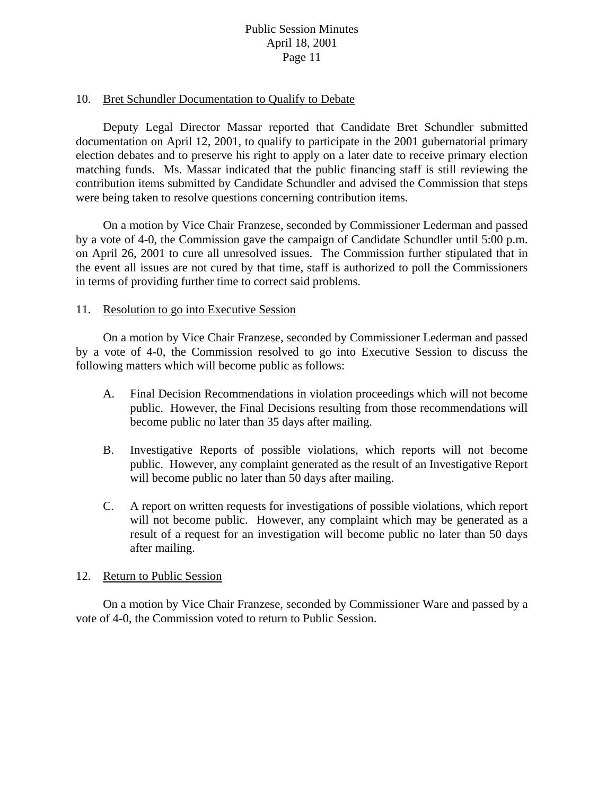### 10. Bret Schundler Documentation to Qualify to Debate

 Deputy Legal Director Massar reported that Candidate Bret Schundler submitted documentation on April 12, 2001, to qualify to participate in the 2001 gubernatorial primary election debates and to preserve his right to apply on a later date to receive primary election matching funds. Ms. Massar indicated that the public financing staff is still reviewing the contribution items submitted by Candidate Schundler and advised the Commission that steps were being taken to resolve questions concerning contribution items.

 On a motion by Vice Chair Franzese, seconded by Commissioner Lederman and passed by a vote of 4-0, the Commission gave the campaign of Candidate Schundler until 5:00 p.m. on April 26, 2001 to cure all unresolved issues. The Commission further stipulated that in the event all issues are not cured by that time, staff is authorized to poll the Commissioners in terms of providing further time to correct said problems.

#### 11. Resolution to go into Executive Session

 On a motion by Vice Chair Franzese, seconded by Commissioner Lederman and passed by a vote of 4-0, the Commission resolved to go into Executive Session to discuss the following matters which will become public as follows:

- A. Final Decision Recommendations in violation proceedings which will not become public. However, the Final Decisions resulting from those recommendations will become public no later than 35 days after mailing.
- B. Investigative Reports of possible violations, which reports will not become public. However, any complaint generated as the result of an Investigative Report will become public no later than 50 days after mailing.
- C. A report on written requests for investigations of possible violations, which report will not become public. However, any complaint which may be generated as a result of a request for an investigation will become public no later than 50 days after mailing.

#### 12. Return to Public Session

On a motion by Vice Chair Franzese, seconded by Commissioner Ware and passed by a vote of 4-0, the Commission voted to return to Public Session.